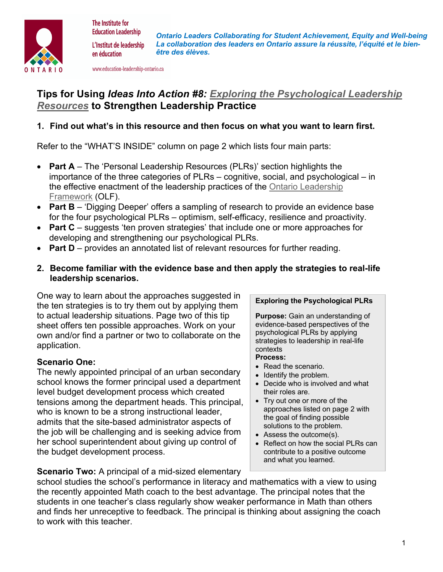

The Institute for **Education Leadership** 

en éducation

*Ontario Leaders Collaborating for Student Achievement, Equity and Well-being La collaboration des leaders en Ontario assure la réussite, l'équité et le bien-*L'Institut de leadership *être des élèves.*

www.education-leadership-ontario.ca

# **Tips for Using** *Ideas Into Action #8: Exploring the Psychological Leadership Resources* **to Strengthen Leadership Practice**

## **1. Find out what's in this resource and then focus on what you want to learn first.**

Refer to the "WHAT'S INSIDE" column on page 2 which lists four main parts:

- **Part A** The 'Personal Leadership Resources (PLRs)' section highlights the importance of the three categories of PLRs – cognitive, social, and psychological – in the effective enactment of the leadership practices of the Ontario Leadership Framework (OLF).
- **Part B** 'Digging Deeper' offers a sampling of research to provide an evidence base for the four psychological PLRs – optimism, self-efficacy, resilience and proactivity.
- **Part C** suggests 'ten proven strategies' that include one or more approaches for developing and strengthening our psychological PLRs.
- **Part D** provides an annotated list of relevant resources for further reading.
- **2. Become familiar with the evidence base and then apply the strategies to real-life leadership scenarios.**

One way to learn about the approaches suggested in the ten strategies is to try them out by applying them to actual leadership situations. Page two of this tip sheet offers ten possible approaches. Work on your own and/or find a partner or two to collaborate on the application.

### **Scenario One:**

The newly appointed principal of an urban secondary school knows the former principal used a department level budget development process which created tensions among the department heads. This principal, who is known to be a strong instructional leader, admits that the site-based administrator aspects of the job will be challenging and is seeking advice from her school superintendent about giving up control of the budget development process.

#### **Exploring the Psychological PLRs**

**Purpose:** Gain an understanding of evidence-based perspectives of the psychological PLRs by applying strategies to leadership in real-life contexts

- **Process:**
- Read the scenario.
- Identify the problem.
- Decide who is involved and what their roles are.
- Try out one or more of the approaches listed on page 2 with the goal of finding possible solutions to the problem.
- Assess the outcome(s).
- Reflect on how the social PLRs can contribute to a positive outcome and what you learned. - .

**Scenario Two:** A principal of a mid-sized elementary

school studies the school's performance in literacy and mathematics with a view to using the recently appointed Math coach to the best advantage. The principal notes that the students in one teacher's class regularly show weaker performance in Math than others and finds her unreceptive to feedback. The principal is thinking about assigning the coach to work with this teacher.